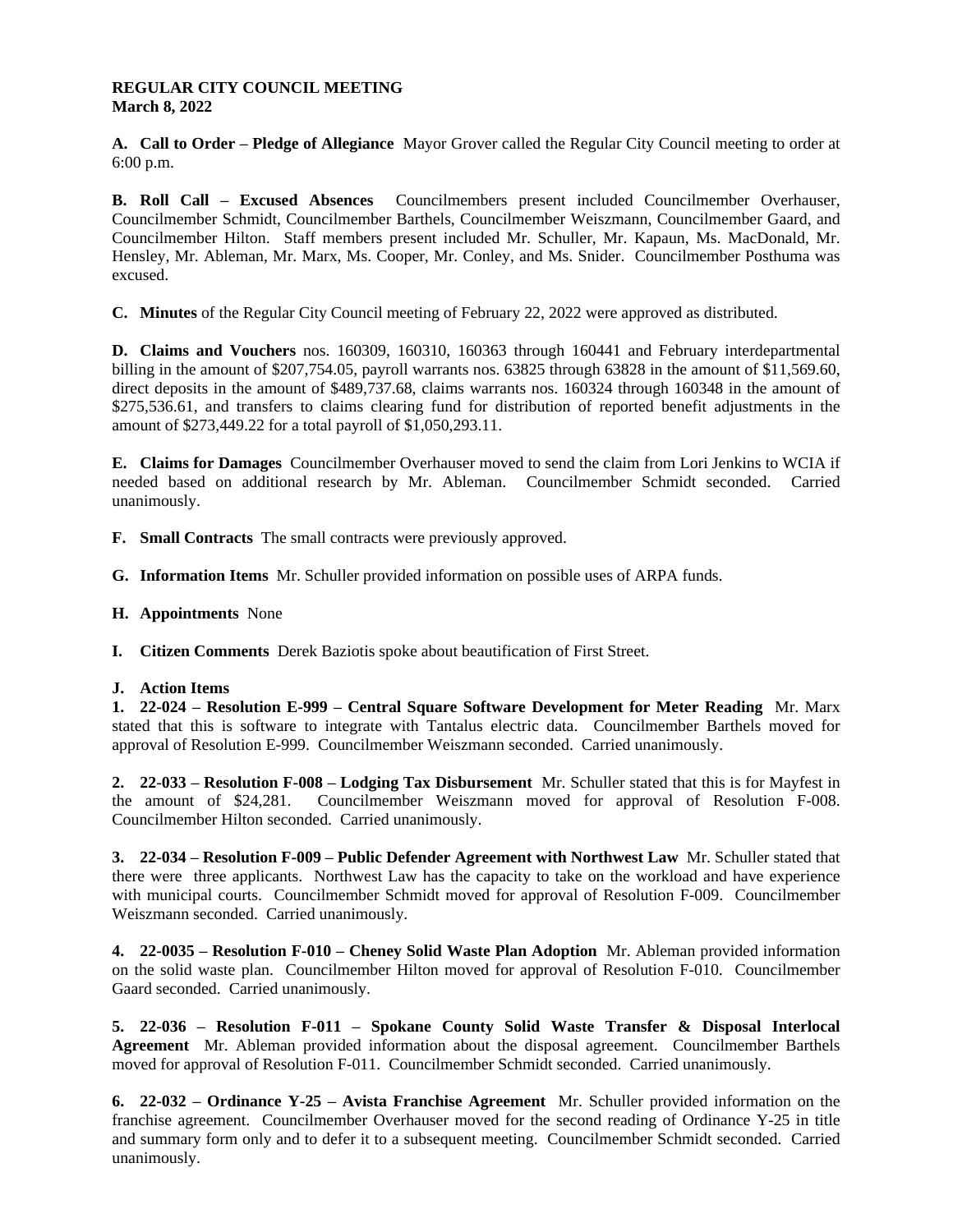## **REGULAR CITY COUNCIL MEETING March 8, 2022**

**A. Call to Order – Pledge of Allegiance** Mayor Grover called the Regular City Council meeting to order at 6:00 p.m.

**B. Roll Call – Excused Absences** Councilmembers present included Councilmember Overhauser, Councilmember Schmidt, Councilmember Barthels, Councilmember Weiszmann, Councilmember Gaard, and Councilmember Hilton. Staff members present included Mr. Schuller, Mr. Kapaun, Ms. MacDonald, Mr. Hensley, Mr. Ableman, Mr. Marx, Ms. Cooper, Mr. Conley, and Ms. Snider. Councilmember Posthuma was excused.

**C. Minutes** of the Regular City Council meeting of February 22, 2022 were approved as distributed.

**D. Claims and Vouchers** nos. 160309, 160310, 160363 through 160441 and February interdepartmental billing in the amount of \$207,754.05, payroll warrants nos. 63825 through 63828 in the amount of \$11,569.60, direct deposits in the amount of \$489,737.68, claims warrants nos. 160324 through 160348 in the amount of \$275,536.61, and transfers to claims clearing fund for distribution of reported benefit adjustments in the amount of \$273,449.22 for a total payroll of \$1,050,293.11.

**E. Claims for Damages** Councilmember Overhauser moved to send the claim from Lori Jenkins to WCIA if needed based on additional research by Mr. Ableman. Councilmember Schmidt seconded. Carried unanimously.

**F. Small Contracts** The small contracts were previously approved.

**G. Information Items** Mr. Schuller provided information on possible uses of ARPA funds.

**H. Appointments** None

**I. Citizen Comments** Derek Baziotis spoke about beautification of First Street.

## **J. Action Items**

**1. 22-024 – Resolution E-999 – Central Square Software Development for Meter Reading** Mr. Marx stated that this is software to integrate with Tantalus electric data. Councilmember Barthels moved for approval of Resolution E-999. Councilmember Weiszmann seconded. Carried unanimously.

**2. 22-033 – Resolution F-008 – Lodging Tax Disbursement** Mr. Schuller stated that this is for Mayfest in the amount of \$24,281. Councilmember Weiszmann moved for approval of Resolution F-008. Councilmember Hilton seconded. Carried unanimously.

**3. 22-034 – Resolution F-009 – Public Defender Agreement with Northwest Law** Mr. Schuller stated that there were three applicants. Northwest Law has the capacity to take on the workload and have experience with municipal courts. Councilmember Schmidt moved for approval of Resolution F-009. Councilmember Weiszmann seconded. Carried unanimously.

**4. 22-0035 – Resolution F-010 – Cheney Solid Waste Plan Adoption** Mr. Ableman provided information on the solid waste plan. Councilmember Hilton moved for approval of Resolution F-010. Councilmember Gaard seconded. Carried unanimously.

**5. 22-036 – Resolution F-011 – Spokane County Solid Waste Transfer & Disposal Interlocal Agreement** Mr. Ableman provided information about the disposal agreement. Councilmember Barthels moved for approval of Resolution F-011. Councilmember Schmidt seconded. Carried unanimously.

**6. 22-032 – Ordinance Y-25 – Avista Franchise Agreement** Mr. Schuller provided information on the franchise agreement. Councilmember Overhauser moved for the second reading of Ordinance Y-25 in title and summary form only and to defer it to a subsequent meeting. Councilmember Schmidt seconded. Carried unanimously.